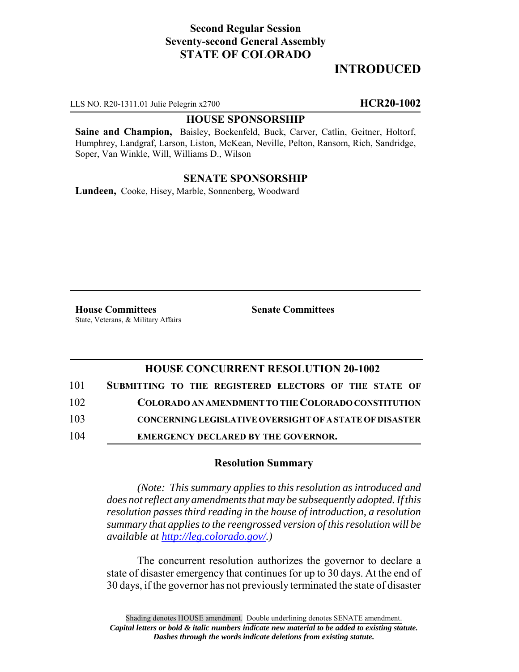## **Second Regular Session Seventy-second General Assembly STATE OF COLORADO**

# **INTRODUCED**

LLS NO. R20-1311.01 Julie Pelegrin x2700 **HCR20-1002**

#### **HOUSE SPONSORSHIP**

**Saine and Champion,** Baisley, Bockenfeld, Buck, Carver, Catlin, Geitner, Holtorf, Humphrey, Landgraf, Larson, Liston, McKean, Neville, Pelton, Ransom, Rich, Sandridge, Soper, Van Winkle, Will, Williams D., Wilson

### **SENATE SPONSORSHIP**

**Lundeen,** Cooke, Hisey, Marble, Sonnenberg, Woodward

**House Committees Senate Committees** State, Veterans, & Military Affairs

### **HOUSE CONCURRENT RESOLUTION 20-1002**

| 101 | SUBMITTING TO THE REGISTERED ELECTORS OF THE STATE OF          |
|-----|----------------------------------------------------------------|
| 102 | COLORADO AN AMENDMENT TO THE COLORADO CONSTITUTION             |
| 103 | <b>CONCERNING LEGISLATIVE OVERSIGHT OF A STATE OF DISASTER</b> |
|     |                                                                |

104 **EMERGENCY DECLARED BY THE GOVERNOR.**

### **Resolution Summary**

*(Note: This summary applies to this resolution as introduced and does not reflect any amendments that may be subsequently adopted. If this resolution passes third reading in the house of introduction, a resolution summary that applies to the reengrossed version of this resolution will be available at http://leg.colorado.gov/.)*

The concurrent resolution authorizes the governor to declare a state of disaster emergency that continues for up to 30 days. At the end of 30 days, if the governor has not previously terminated the state of disaster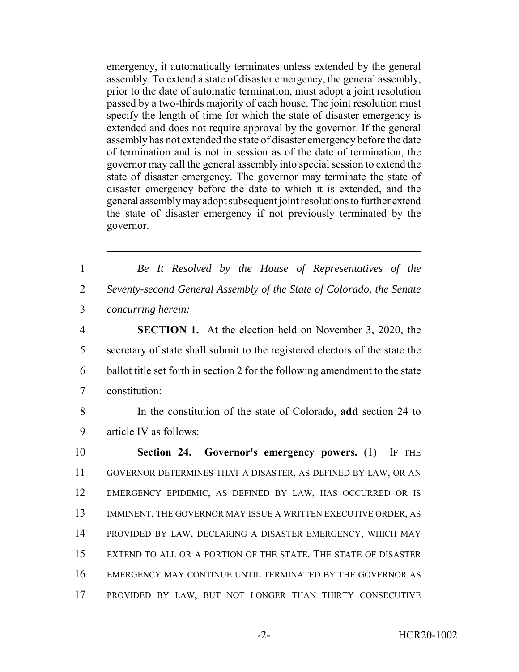emergency, it automatically terminates unless extended by the general assembly. To extend a state of disaster emergency, the general assembly, prior to the date of automatic termination, must adopt a joint resolution passed by a two-thirds majority of each house. The joint resolution must specify the length of time for which the state of disaster emergency is extended and does not require approval by the governor. If the general assembly has not extended the state of disaster emergency before the date of termination and is not in session as of the date of termination, the governor may call the general assembly into special session to extend the state of disaster emergency. The governor may terminate the state of disaster emergency before the date to which it is extended, and the general assembly may adopt subsequent joint resolutions to further extend the state of disaster emergency if not previously terminated by the governor.

1 *Be It Resolved by the House of Representatives of the* 2 *Seventy-second General Assembly of the State of Colorado, the Senate* 3 *concurring herein:*

 **SECTION 1.** At the election held on November 3, 2020, the secretary of state shall submit to the registered electors of the state the ballot title set forth in section 2 for the following amendment to the state constitution:

8 In the constitution of the state of Colorado, **add** section 24 to 9 article IV as follows:

 **Section 24. Governor's emergency powers.** (1) IF THE GOVERNOR DETERMINES THAT A DISASTER, AS DEFINED BY LAW, OR AN EMERGENCY EPIDEMIC, AS DEFINED BY LAW, HAS OCCURRED OR IS 13 IMMINENT, THE GOVERNOR MAY ISSUE A WRITTEN EXECUTIVE ORDER, AS PROVIDED BY LAW, DECLARING A DISASTER EMERGENCY, WHICH MAY EXTEND TO ALL OR A PORTION OF THE STATE. THE STATE OF DISASTER EMERGENCY MAY CONTINUE UNTIL TERMINATED BY THE GOVERNOR AS PROVIDED BY LAW, BUT NOT LONGER THAN THIRTY CONSECUTIVE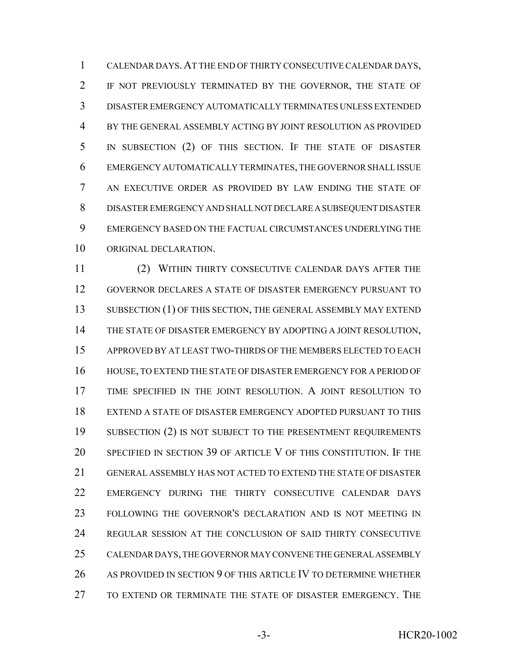CALENDAR DAYS.AT THE END OF THIRTY CONSECUTIVE CALENDAR DAYS, IF NOT PREVIOUSLY TERMINATED BY THE GOVERNOR, THE STATE OF DISASTER EMERGENCY AUTOMATICALLY TERMINATES UNLESS EXTENDED BY THE GENERAL ASSEMBLY ACTING BY JOINT RESOLUTION AS PROVIDED IN SUBSECTION (2) OF THIS SECTION. IF THE STATE OF DISASTER EMERGENCY AUTOMATICALLY TERMINATES, THE GOVERNOR SHALL ISSUE AN EXECUTIVE ORDER AS PROVIDED BY LAW ENDING THE STATE OF DISASTER EMERGENCY AND SHALL NOT DECLARE A SUBSEQUENT DISASTER EMERGENCY BASED ON THE FACTUAL CIRCUMSTANCES UNDERLYING THE ORIGINAL DECLARATION.

 (2) WITHIN THIRTY CONSECUTIVE CALENDAR DAYS AFTER THE GOVERNOR DECLARES A STATE OF DISASTER EMERGENCY PURSUANT TO 13 SUBSECTION (1) OF THIS SECTION, THE GENERAL ASSEMBLY MAY EXTEND THE STATE OF DISASTER EMERGENCY BY ADOPTING A JOINT RESOLUTION, APPROVED BY AT LEAST TWO-THIRDS OF THE MEMBERS ELECTED TO EACH HOUSE, TO EXTEND THE STATE OF DISASTER EMERGENCY FOR A PERIOD OF TIME SPECIFIED IN THE JOINT RESOLUTION. A JOINT RESOLUTION TO EXTEND A STATE OF DISASTER EMERGENCY ADOPTED PURSUANT TO THIS 19 SUBSECTION (2) IS NOT SUBJECT TO THE PRESENTMENT REQUIREMENTS SPECIFIED IN SECTION 39 OF ARTICLE V OF THIS CONSTITUTION. IF THE GENERAL ASSEMBLY HAS NOT ACTED TO EXTEND THE STATE OF DISASTER EMERGENCY DURING THE THIRTY CONSECUTIVE CALENDAR DAYS FOLLOWING THE GOVERNOR'S DECLARATION AND IS NOT MEETING IN REGULAR SESSION AT THE CONCLUSION OF SAID THIRTY CONSECUTIVE CALENDAR DAYS, THE GOVERNOR MAY CONVENE THE GENERAL ASSEMBLY AS PROVIDED IN SECTION 9 OF THIS ARTICLE IV TO DETERMINE WHETHER TO EXTEND OR TERMINATE THE STATE OF DISASTER EMERGENCY. THE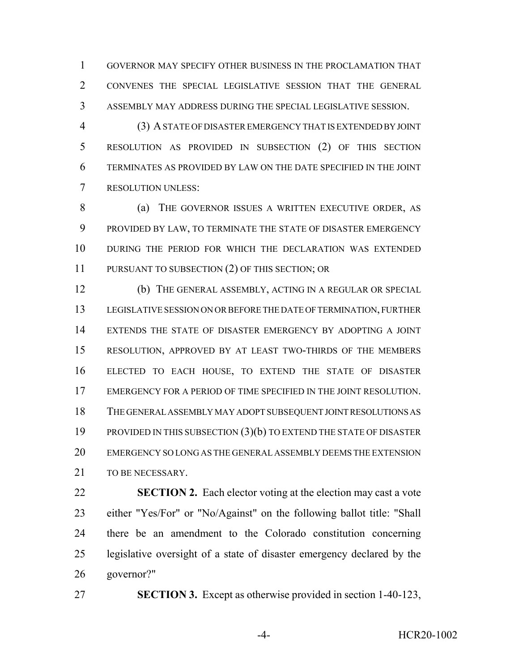GOVERNOR MAY SPECIFY OTHER BUSINESS IN THE PROCLAMATION THAT CONVENES THE SPECIAL LEGISLATIVE SESSION THAT THE GENERAL ASSEMBLY MAY ADDRESS DURING THE SPECIAL LEGISLATIVE SESSION.

 (3) A STATE OF DISASTER EMERGENCY THAT IS EXTENDED BY JOINT RESOLUTION AS PROVIDED IN SUBSECTION (2) OF THIS SECTION TERMINATES AS PROVIDED BY LAW ON THE DATE SPECIFIED IN THE JOINT RESOLUTION UNLESS:

8 (a) THE GOVERNOR ISSUES A WRITTEN EXECUTIVE ORDER, AS PROVIDED BY LAW, TO TERMINATE THE STATE OF DISASTER EMERGENCY DURING THE PERIOD FOR WHICH THE DECLARATION WAS EXTENDED 11 PURSUANT TO SUBSECTION (2) OF THIS SECTION; OR

 (b) THE GENERAL ASSEMBLY, ACTING IN A REGULAR OR SPECIAL LEGISLATIVE SESSION ON OR BEFORE THE DATE OF TERMINATION, FURTHER EXTENDS THE STATE OF DISASTER EMERGENCY BY ADOPTING A JOINT RESOLUTION, APPROVED BY AT LEAST TWO-THIRDS OF THE MEMBERS ELECTED TO EACH HOUSE, TO EXTEND THE STATE OF DISASTER EMERGENCY FOR A PERIOD OF TIME SPECIFIED IN THE JOINT RESOLUTION. THE GENERAL ASSEMBLY MAY ADOPT SUBSEQUENT JOINT RESOLUTIONS AS PROVIDED IN THIS SUBSECTION (3)(b) TO EXTEND THE STATE OF DISASTER EMERGENCY SO LONG AS THE GENERAL ASSEMBLY DEEMS THE EXTENSION 21 TO BE NECESSARY.

 **SECTION 2.** Each elector voting at the election may cast a vote either "Yes/For" or "No/Against" on the following ballot title: "Shall there be an amendment to the Colorado constitution concerning legislative oversight of a state of disaster emergency declared by the governor?"

**SECTION 3.** Except as otherwise provided in section 1-40-123,